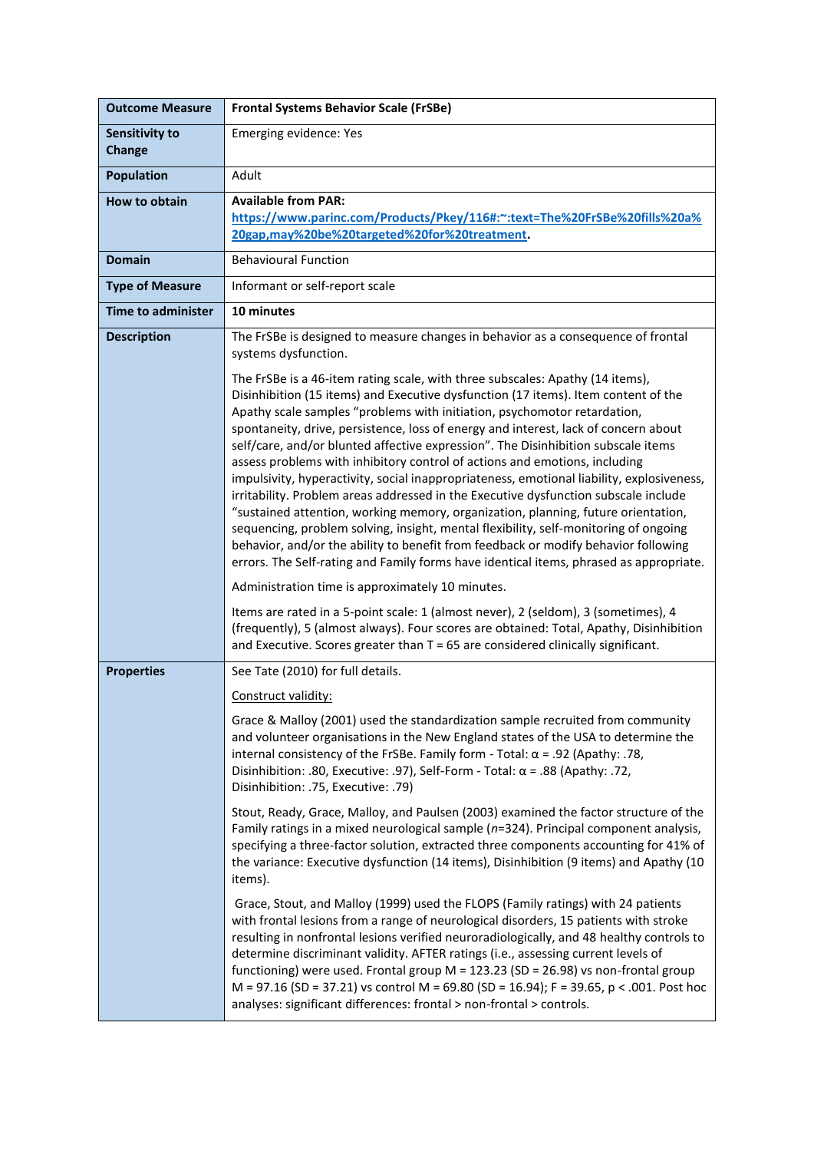| <b>Outcome Measure</b>          | <b>Frontal Systems Behavior Scale (FrSBe)</b>                                                                                                                                                                                                                                                                                                                                                                                                                                                                                                                                                                                                                                                                                                                                                                                                                                                                                                                                                                                                              |
|---------------------------------|------------------------------------------------------------------------------------------------------------------------------------------------------------------------------------------------------------------------------------------------------------------------------------------------------------------------------------------------------------------------------------------------------------------------------------------------------------------------------------------------------------------------------------------------------------------------------------------------------------------------------------------------------------------------------------------------------------------------------------------------------------------------------------------------------------------------------------------------------------------------------------------------------------------------------------------------------------------------------------------------------------------------------------------------------------|
| <b>Sensitivity to</b><br>Change | Emerging evidence: Yes                                                                                                                                                                                                                                                                                                                                                                                                                                                                                                                                                                                                                                                                                                                                                                                                                                                                                                                                                                                                                                     |
| <b>Population</b>               | Adult                                                                                                                                                                                                                                                                                                                                                                                                                                                                                                                                                                                                                                                                                                                                                                                                                                                                                                                                                                                                                                                      |
| How to obtain                   | <b>Available from PAR:</b><br>https://www.parinc.com/Products/Pkey/116#:~:text=The%20FrSBe%20fills%20a%<br>20gap,may%20be%20targeted%20for%20treatment.                                                                                                                                                                                                                                                                                                                                                                                                                                                                                                                                                                                                                                                                                                                                                                                                                                                                                                    |
| <b>Domain</b>                   | <b>Behavioural Function</b>                                                                                                                                                                                                                                                                                                                                                                                                                                                                                                                                                                                                                                                                                                                                                                                                                                                                                                                                                                                                                                |
| <b>Type of Measure</b>          | Informant or self-report scale                                                                                                                                                                                                                                                                                                                                                                                                                                                                                                                                                                                                                                                                                                                                                                                                                                                                                                                                                                                                                             |
| <b>Time to administer</b>       | 10 minutes                                                                                                                                                                                                                                                                                                                                                                                                                                                                                                                                                                                                                                                                                                                                                                                                                                                                                                                                                                                                                                                 |
| <b>Description</b>              | The FrSBe is designed to measure changes in behavior as a consequence of frontal<br>systems dysfunction.                                                                                                                                                                                                                                                                                                                                                                                                                                                                                                                                                                                                                                                                                                                                                                                                                                                                                                                                                   |
|                                 | The FrSBe is a 46-item rating scale, with three subscales: Apathy (14 items),<br>Disinhibition (15 items) and Executive dysfunction (17 items). Item content of the<br>Apathy scale samples "problems with initiation, psychomotor retardation,<br>spontaneity, drive, persistence, loss of energy and interest, lack of concern about<br>self/care, and/or blunted affective expression". The Disinhibition subscale items<br>assess problems with inhibitory control of actions and emotions, including<br>impulsivity, hyperactivity, social inappropriateness, emotional liability, explosiveness,<br>irritability. Problem areas addressed in the Executive dysfunction subscale include<br>"sustained attention, working memory, organization, planning, future orientation,<br>sequencing, problem solving, insight, mental flexibility, self-monitoring of ongoing<br>behavior, and/or the ability to benefit from feedback or modify behavior following<br>errors. The Self-rating and Family forms have identical items, phrased as appropriate. |
|                                 | Administration time is approximately 10 minutes.                                                                                                                                                                                                                                                                                                                                                                                                                                                                                                                                                                                                                                                                                                                                                                                                                                                                                                                                                                                                           |
|                                 | Items are rated in a 5-point scale: 1 (almost never), 2 (seldom), 3 (sometimes), 4<br>(frequently), 5 (almost always). Four scores are obtained: Total, Apathy, Disinhibition<br>and Executive. Scores greater than $T = 65$ are considered clinically significant.                                                                                                                                                                                                                                                                                                                                                                                                                                                                                                                                                                                                                                                                                                                                                                                        |
| <b>Properties</b>               | See Tate (2010) for full details.                                                                                                                                                                                                                                                                                                                                                                                                                                                                                                                                                                                                                                                                                                                                                                                                                                                                                                                                                                                                                          |
|                                 | Construct validity:                                                                                                                                                                                                                                                                                                                                                                                                                                                                                                                                                                                                                                                                                                                                                                                                                                                                                                                                                                                                                                        |
|                                 | Grace & Malloy (2001) used the standardization sample recruited from community<br>and volunteer organisations in the New England states of the USA to determine the<br>internal consistency of the FrSBe. Family form - Total: $\alpha$ = .92 (Apathy: .78,<br>Disinhibition: .80, Executive: .97), Self-Form - Total: $\alpha$ = .88 (Apathy: .72,<br>Disinhibition: .75, Executive: .79)                                                                                                                                                                                                                                                                                                                                                                                                                                                                                                                                                                                                                                                                 |
|                                 | Stout, Ready, Grace, Malloy, and Paulsen (2003) examined the factor structure of the<br>Family ratings in a mixed neurological sample (n=324). Principal component analysis,<br>specifying a three-factor solution, extracted three components accounting for 41% of<br>the variance: Executive dysfunction (14 items), Disinhibition (9 items) and Apathy (10<br>items).                                                                                                                                                                                                                                                                                                                                                                                                                                                                                                                                                                                                                                                                                  |
|                                 | Grace, Stout, and Malloy (1999) used the FLOPS (Family ratings) with 24 patients<br>with frontal lesions from a range of neurological disorders, 15 patients with stroke<br>resulting in nonfrontal lesions verified neuroradiologically, and 48 healthy controls to<br>determine discriminant validity. AFTER ratings (i.e., assessing current levels of<br>functioning) were used. Frontal group $M = 123.23$ (SD = 26.98) vs non-frontal group<br>M = 97.16 (SD = 37.21) vs control M = 69.80 (SD = 16.94); F = 39.65, p < .001. Post hoc<br>analyses: significant differences: frontal > non-frontal > controls.                                                                                                                                                                                                                                                                                                                                                                                                                                       |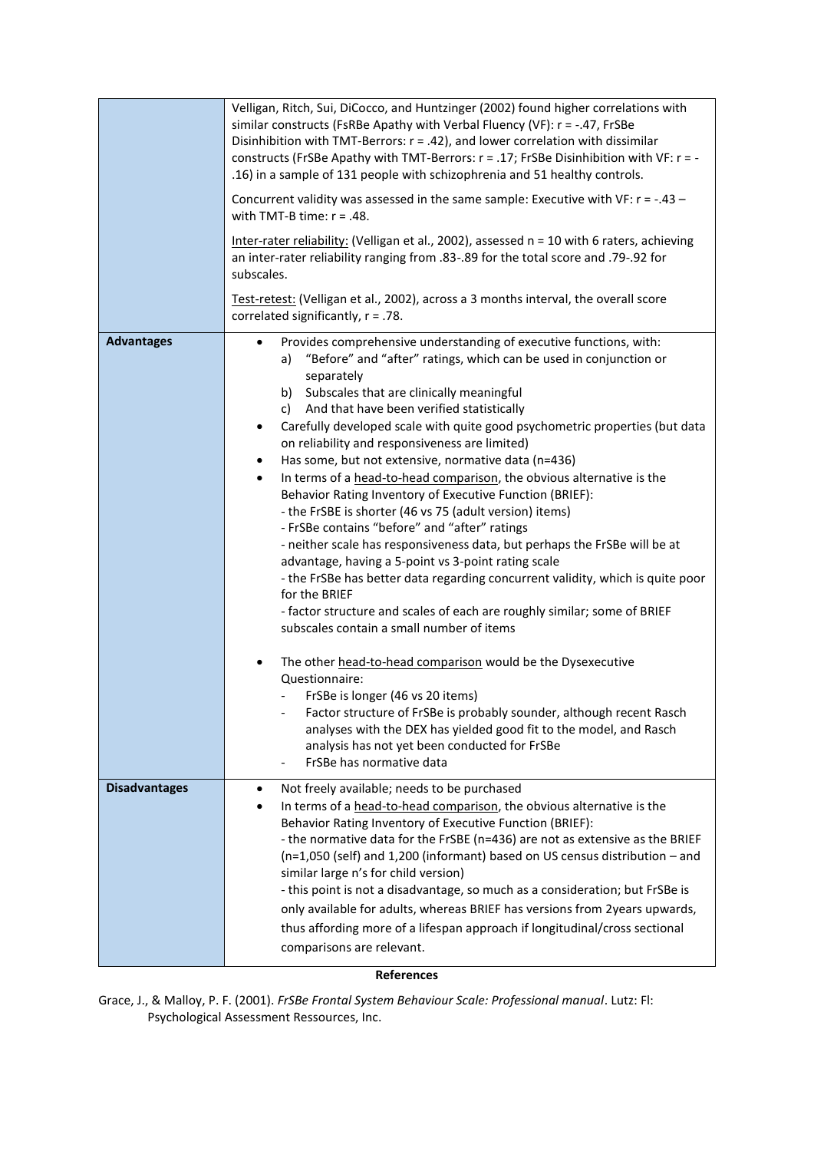|                      | Velligan, Ritch, Sui, DiCocco, and Huntzinger (2002) found higher correlations with<br>similar constructs (FsRBe Apathy with Verbal Fluency (VF): $r = -.47$ , FrSBe<br>Disinhibition with TMT-Berrors: $r = .42$ ), and lower correlation with dissimilar<br>constructs (FrSBe Apathy with TMT-Berrors: r = .17; FrSBe Disinhibition with VF: r = -<br>.16) in a sample of 131 people with schizophrenia and 51 healthy controls.<br>Concurrent validity was assessed in the same sample: Executive with VF: $r = -.43 -$<br>with TMT-B time: $r = .48$ .<br>Inter-rater reliability: (Velligan et al., 2002), assessed n = 10 with 6 raters, achieving<br>an inter-rater reliability ranging from .83-.89 for the total score and .79-.92 for<br>subscales.<br>Test-retest: (Velligan et al., 2002), across a 3 months interval, the overall score<br>correlated significantly, $r = .78$ .                                                                                                                                                                                                                                                                                                                                                                                                                                                                                                                                                                                        |
|----------------------|--------------------------------------------------------------------------------------------------------------------------------------------------------------------------------------------------------------------------------------------------------------------------------------------------------------------------------------------------------------------------------------------------------------------------------------------------------------------------------------------------------------------------------------------------------------------------------------------------------------------------------------------------------------------------------------------------------------------------------------------------------------------------------------------------------------------------------------------------------------------------------------------------------------------------------------------------------------------------------------------------------------------------------------------------------------------------------------------------------------------------------------------------------------------------------------------------------------------------------------------------------------------------------------------------------------------------------------------------------------------------------------------------------------------------------------------------------------------------------------|
| <b>Advantages</b>    | Provides comprehensive understanding of executive functions, with:<br>$\bullet$<br>"Before" and "after" ratings, which can be used in conjunction or<br>a)<br>separately<br>b) Subscales that are clinically meaningful<br>c) And that have been verified statistically<br>Carefully developed scale with quite good psychometric properties (but data<br>$\bullet$<br>on reliability and responsiveness are limited)<br>Has some, but not extensive, normative data (n=436)<br>$\bullet$<br>In terms of a head-to-head comparison, the obvious alternative is the<br>$\bullet$<br>Behavior Rating Inventory of Executive Function (BRIEF):<br>- the FrSBE is shorter (46 vs 75 (adult version) items)<br>- FrSBe contains "before" and "after" ratings<br>- neither scale has responsiveness data, but perhaps the FrSBe will be at<br>advantage, having a 5-point vs 3-point rating scale<br>- the FrSBe has better data regarding concurrent validity, which is quite poor<br>for the BRIEF<br>- factor structure and scales of each are roughly similar; some of BRIEF<br>subscales contain a small number of items<br>The other head-to-head comparison would be the Dysexecutive<br>$\bullet$<br>Questionnaire:<br>FrSBe is longer (46 vs 20 items)<br>Factor structure of FrSBe is probably sounder, although recent Rasch<br>analyses with the DEX has yielded good fit to the model, and Rasch<br>analysis has not yet been conducted for FrSBe<br>FrSBe has normative data |
| <b>Disadvantages</b> | Not freely available; needs to be purchased<br>$\bullet$<br>In terms of a head-to-head comparison, the obvious alternative is the<br>$\bullet$<br>Behavior Rating Inventory of Executive Function (BRIEF):<br>- the normative data for the FrSBE (n=436) are not as extensive as the BRIEF<br>$(n=1,050$ (self) and 1,200 (informant) based on US census distribution $-$ and<br>similar large n's for child version)<br>- this point is not a disadvantage, so much as a consideration; but FrSBe is<br>only available for adults, whereas BRIEF has versions from 2years upwards,<br>thus affording more of a lifespan approach if longitudinal/cross sectional<br>comparisons are relevant.                                                                                                                                                                                                                                                                                                                                                                                                                                                                                                                                                                                                                                                                                                                                                                                       |

## **References**

Grace, J., & Malloy, P. F. (2001). *FrSBe Frontal System Behaviour Scale: Professional manual*. Lutz: Fl: Psychological Assessment Ressources, Inc.